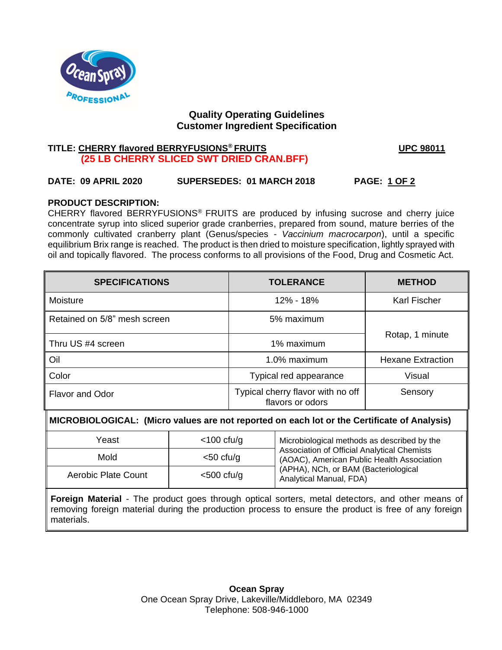

# **Quality Operating Guidelines Customer Ingredient Specification**

# **TITLE: CHERRY flavored BERRYFUSIONS® FRUITS UPC 98011 (25 LB CHERRY SLICED SWT DRIED CRAN.BFF)**

# **DATE: 09 APRIL 2020 SUPERSEDES: 01 MARCH 2018 PAGE: 1 OF 2**

## **PRODUCT DESCRIPTION:**

CHERRY flavored BERRYFUSIONS® FRUITS are produced by infusing sucrose and cherry juice concentrate syrup into sliced superior grade cranberries, prepared from sound, mature berries of the commonly cultivated cranberry plant (Genus/species - *Vaccinium macrocarpon*), until a specific equilibrium Brix range is reached. The product is then dried to moisture specification, lightly sprayed with oil and topically flavored. The process conforms to all provisions of the Food, Drug and Cosmetic Act.

| <b>SPECIFICATIONS</b>        | <b>TOLERANCE</b>                                      | <b>METHOD</b>       |  |
|------------------------------|-------------------------------------------------------|---------------------|--|
| Moisture                     | 12% - 18%                                             | <b>Karl Fischer</b> |  |
| Retained on 5/8" mesh screen | 5% maximum                                            |                     |  |
| Thru US #4 screen            | 1% maximum                                            | Rotap, 1 minute     |  |
| Oil                          | 1.0% maximum<br><b>Hexane Extraction</b>              |                     |  |
| Color                        | <b>Visual</b><br>Typical red appearance               |                     |  |
| <b>Flavor and Odor</b>       | Typical cherry flavor with no off<br>flavors or odors | Sensory             |  |

M **MICROBIOLOGICAL: (Micro values are not reported on each lot or the Certificate of Analysis)**

| Yeast               | $<$ 100 cfu/g | Microbiological methods as described by the<br>Association of Official Analytical Chemists<br>(AOAC), American Public Health Association<br>(APHA), NCh, or BAM (Bacteriological<br>Analytical Manual, FDA) |
|---------------------|---------------|-------------------------------------------------------------------------------------------------------------------------------------------------------------------------------------------------------------|
| Mold                | $<$ 50 cfu/g  |                                                                                                                                                                                                             |
| Aerobic Plate Count | $<$ 500 cfu/g |                                                                                                                                                                                                             |

**Foreign Material** - The product goes through optical sorters, metal detectors, and other means of removing foreign material during the production process to ensure the product is free of any foreign materials.